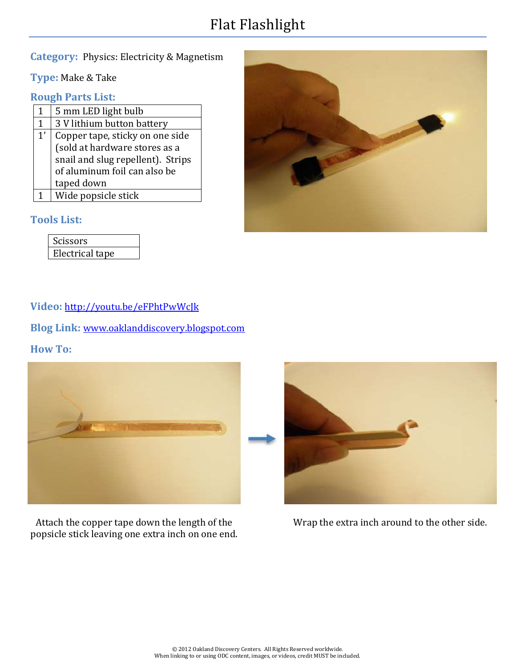# Flat Flashlight

## **Category:** Physics: Electricity & Magnetism

**Type:** Make & Take

#### **Rough Parts List:**

| 1  | 5 mm LED light bulb                                                                                                                                 |
|----|-----------------------------------------------------------------------------------------------------------------------------------------------------|
| 1  | 3 V lithium button battery                                                                                                                          |
| 1' | Copper tape, sticky on one side<br>(sold at hardware stores as a<br>snail and slug repellent). Strips<br>of aluminum foil can also be<br>taped down |
|    |                                                                                                                                                     |
|    | Wide popsicle stick                                                                                                                                 |

#### **Tools List:**

| Scissors        |  |
|-----------------|--|
| Electrical tape |  |



## **Video:** <http://youtu.be/eFPhtPwWcJk>

**Blog Link:** [www.oaklanddiscovery.blogspot.com](http://www.oaklanddiscovery.blogspot.com/)

#### **How To:**



Attach the copper tape down the length of the popsicle stick leaving one extra inch on one end.



Wrap the extra inch around to the other side.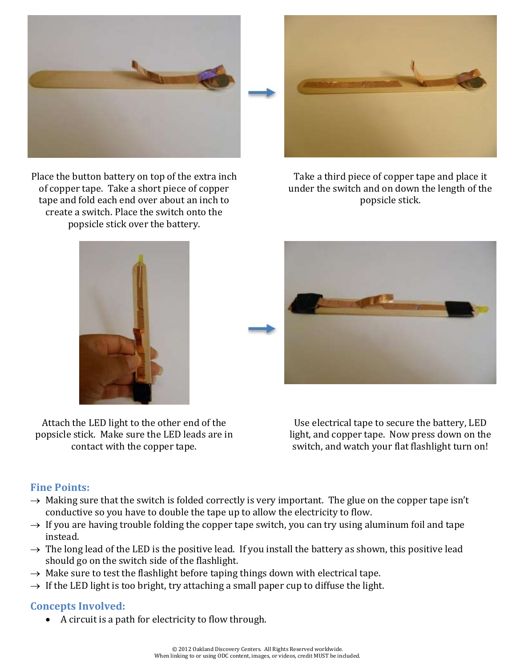

Place the button battery on top of the extra inch of copper tape. Take a short piece of copper tape and fold each end over about an inch to create a switch. Place the switch onto the popsicle stick over the battery.



Take a third piece of copper tape and place it under the switch and on down the length of the popsicle stick.





Attach the LED light to the other end of the popsicle stick. Make sure the LED leads are in contact with the copper tape.

Use electrical tape to secure the battery, LED light, and copper tape. Now press down on the switch, and watch your flat flashlight turn on!

# **Fine Points:**

- $\rightarrow$  Making sure that the switch is folded correctly is very important. The glue on the copper tape isn't conductive so you have to double the tape up to allow the electricity to flow.
- $\rightarrow$  If you are having trouble folding the copper tape switch, you can try using aluminum foil and tape instead.
- $\rightarrow$  The long lead of the LED is the positive lead. If you install the battery as shown, this positive lead should go on the switch side of the flashlight.
- $\rightarrow$  Make sure to test the flashlight before taping things down with electrical tape.
- $\rightarrow$  If the LED light is too bright, try attaching a small paper cup to diffuse the light.

## **Concepts Involved:**

A circuit is a path for electricity to flow through.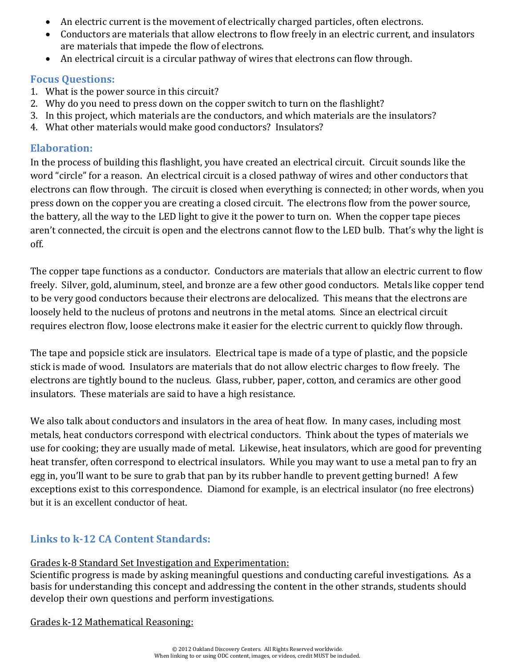- An electric current is the movement of electrically charged particles, often electrons.
- Conductors are materials that allow electrons to flow freely in an electric current, and insulators are materials that impede the flow of electrons.
- An electrical circuit is a circular pathway of wires that electrons can flow through.

#### **Focus Questions:**

- 1. What is the power source in this circuit?
- 2. Why do you need to press down on the copper switch to turn on the flashlight?
- 3. In this project, which materials are the conductors, and which materials are the insulators?
- 4. What other materials would make good conductors? Insulators?

#### **Elaboration:**

In the process of building this flashlight, you have created an electrical circuit. Circuit sounds like the word "circle" for a reason. An electrical circuit is a closed pathway of wires and other conductors that electrons can flow through. The circuit is closed when everything is connected; in other words, when you press down on the copper you are creating a closed circuit. The electrons flow from the power source, the battery, all the way to the LED light to give it the power to turn on. When the copper tape pieces aren't connected, the circuit is open and the electrons cannot flow to the LED bulb. That's why the light is off.

The copper tape functions as a conductor. Conductors are materials that allow an electric current to flow freely. Silver, gold, aluminum, steel, and bronze are a few other good conductors. Metals like copper tend to be very good conductors because their electrons are delocalized. This means that the electrons are loosely held to the nucleus of protons and neutrons in the metal atoms. Since an electrical circuit requires electron flow, loose electrons make it easier for the electric current to quickly flow through.

The tape and popsicle stick are insulators. Electrical tape is made of a type of plastic, and the popsicle stick is made of wood. Insulators are materials that do not allow electric charges to flow freely. The electrons are tightly bound to the nucleus. Glass, rubber, paper, cotton, and ceramics are other good insulators. These materials are said to have a high resistance.

We also talk about conductors and insulators in the area of heat flow. In many cases, including most metals, heat conductors correspond with electrical conductors. Think about the types of materials we use for cooking; they are usually made of metal. Likewise, heat insulators, which are good for preventing heat transfer, often correspond to electrical insulators. While you may want to use a metal pan to fry an egg in, you'll want to be sure to grab that pan by its rubber handle to prevent getting burned! A few exceptions exist to this correspondence. Diamond for example, is an electrical insulator (no free electrons) but it is an excellent conductor of heat.

# **Links to k-12 CA Content Standards:**

#### Grades k-8 Standard Set Investigation and Experimentation:

Scientific progress is made by asking meaningful questions and conducting careful investigations. As a basis for understanding this concept and addressing the content in the other strands, students should develop their own questions and perform investigations.

Grades k-12 Mathematical Reasoning: